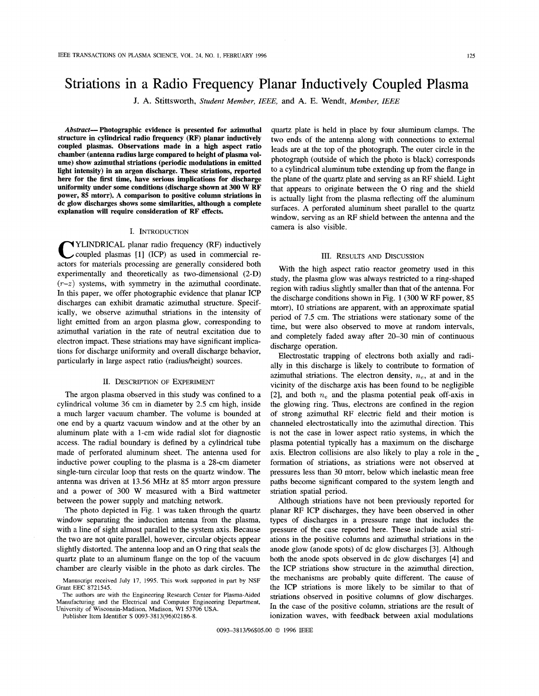**J. A.** Stittsworth, *Student Member, IEEE,* and **A.** E. Wendt, *Member, IEEE* 

*Abstract-* **Photographic evidence is presented for azimuthal structure in cylindrical radio frequency (RF) planar inductively coupled plasmas. Observations made in a high aspect ratio chamber (antenna radius large compared to height of plasma volume) show azimuthal striations (periodic modulations in emitted light intensity) in an argon discharge. These striations, reported here for the first time, have serious implications for discharge uniformity under some conditions (discharge shown at 300 W RF power, 85 mtorr). A comparison to positive column striations in dc glow discharges shows some similarities, although a complete explanation will require consideration of RF effects.** 

## I. INTRODUCTION

**Y**YLINDRICAL planar radio frequency (RF) inductively coupled plasmas [1] (ICP) as used in commercial reactors for materials processing are generally considered both experimentally and theoretically as two-dimensional (2-D)  $(r-z)$  systems, with symmetry in the azimuthal coordinate. In this paper, we offer photographic evidence that planar ICP discharges can exhibit dramatic azimuthal structure. Specifically, we observe azimuthal striations in the intensity of light emitted from an argon plasma glow, corresponding to azimuthal variation in the rate of neutral excitation due to electron impact. These striations may have significant implications for discharge uniformity and overall discharge behavior, particularly in large aspect ratio (radius/height) sources.

## II. DESCRIPTION OF EXPERIMENT

The argon plasma observed in this study was confined to a cylindrical volume 36 cm in diameter by 2.5 cm high, inside a much larger vacuum chamber. The volume is bounded at one end by a quartz vacuum window and at the other by an aluminum plate with a 1-cm wide radial slot for diagnostic access. The radial boundary is defined by a cylindrical tube made of perforated aluminum sheet. The antenna used for inductive power coupling to the plasma is a 28-cm diameter single-turn circular loop that rests on the quartz window. The antenna was driven at 13.56 MHz at 85 mtorr argon pressure and a power of 300 W measured with a Bird wattmeter between the power supply and matching network.

The photo depicted in [Fig. 1](#page-1-0) was taken through the quartz window separating the induction antenna from the plasma, with a line of sight almost parallel to the system axis. Because the two are not quite parallel, however, circular objects appear slightly distorted. The antenna loop and an 0 ring that seals the quartz plate to an aluminum flange on the top of the vacuum chamber are clearly visible in the photo as dark circles. The

The authors are with the Engineering Research Center for Plasma-Aided Manufacturing and the Electrical and Computer Engineering Department, University of Wisconsin-Madison, Madison, WI 53706 USA.

Publisher Item Identifier **S** 0093-3813(96)02186-8.

quartz plate is held in place by four aluminum clamps. The two ends of the antenna along with connections to external leads are at the top of the photograph. The outer circle in the photograph (outside of which the photo is black) corresponds to a cylindrical aluminum tube extending up from the flange in the plane of the quartz plate and serving as an RF shield. Light that appears to originate between the 0 ring and the shield is actually light from the plasma reflecting off the aluminum surfaces. A perforated aluminum sheet parallel to the quartz window, serving as an RF shield between the antenna and the camera **is** also visible.

# 111. RESULTS AND DISCUSSION

With the high aspect ratio reactor geometry used in this study, the plasma glow was always restricted to a ring-shaped region with radius slightly smaller than that of the antenna. For the discharge conditions shown in [Fig. 1](#page-1-0) (300 W RF power, 85 mtorr), 10 striations are apparent, with an approximate spatial period of 7.5 cm. The striations were stationary some of the time, but were also observed to move at random intervals, and completely faded away after 20-30 min of continuous discharge operation.

Electrostatic trapping of electrons both axially and radially in this discharge is likely to contribute to formation of azimuthal striations. The electron density, *ne,* at and in the vicinity of the discharge axis has been found to be negligible [2], and both  $n_e$  and the plasma potential peak off-axis in the glowing ring. Thus, electrons are confined in the region of strong azimuthal RF electric field and their motion is channeled electrostatically into the azimuthal direction. This is not the case in lower aspect ratio systems, in which the plasma potential typically has a maximum on the discharge axis. Electron collisions are also likely to play a role in the formation of striations, as striations were not observed at pressures less than 30 mtorr, below which inelastic mean free paths become significant compared to the system length and striation spatial period.

Although striations have not been previously reported for planar **RF** ICP discharges, they have been observed in other types of discharges in a pressure range that includes the pressure of the case reported here. These include axial striations in the positive columns and azimuthal striations in the anode glow (anode spots) of dc glow discharges [3]. Although both the anode spots observed in dc glow discharges [4] and the ICP striations show structure in the azimuthal direction, the mechanisms are probably quite different. The cause **of**  the ICP striations is more likely to be similar to that of striations observed in positive columns of glow discharges. In the case of the positive column, striations are the result **of**  ionization waves, with feedback between axial modulations

0093-3813/96\$05.00 *0* 1996 IEEE

Manuscript received July 17, 1995. This **work** supported in part by **NSF**  Grant EEC 8721545.